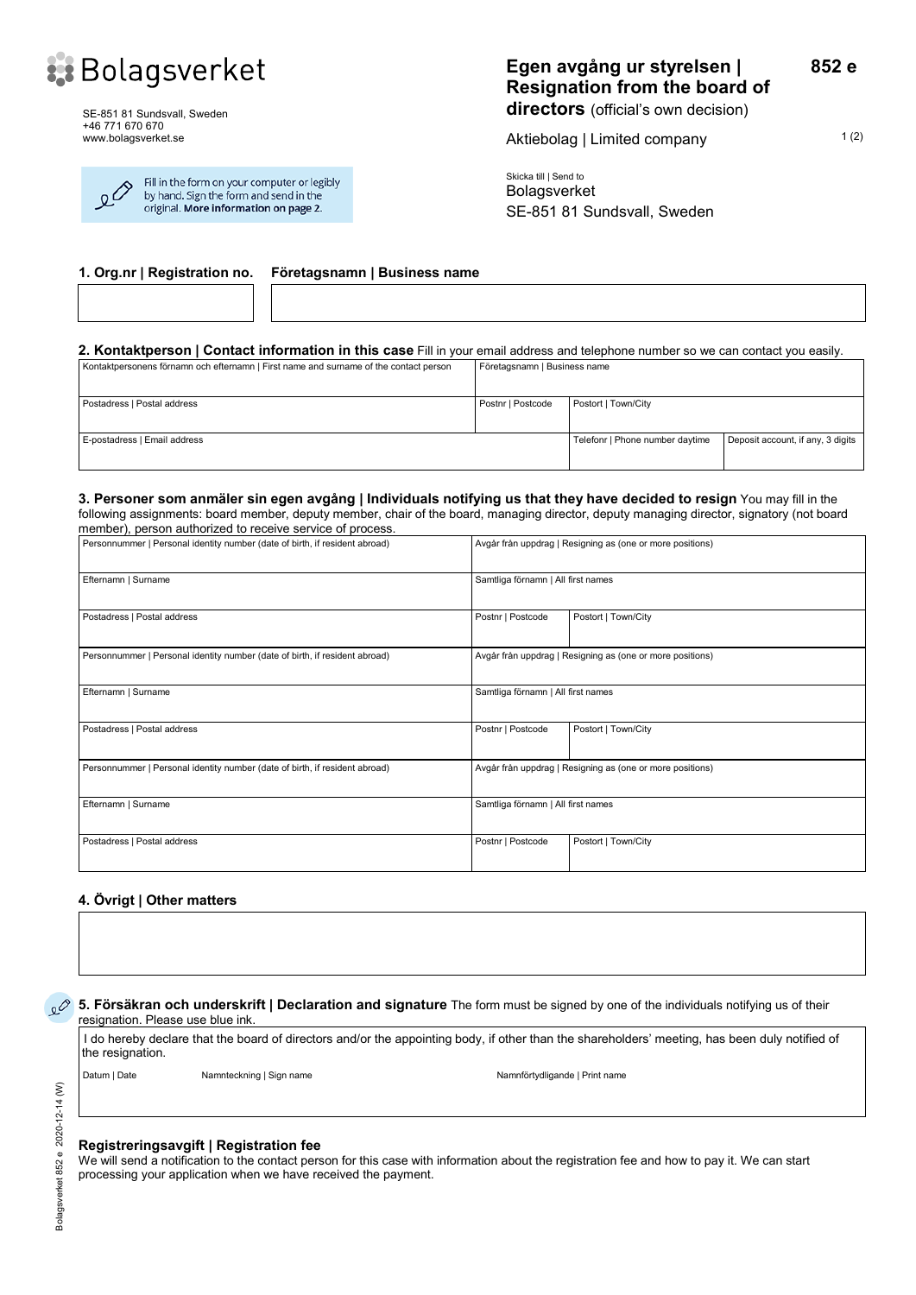

SE-851 81 Sundsvall, Sweden +46 771 670 670 www.bolagsverket.se

| $\overline{\mathcal{S}}$ | Fill in the form on your computer or legibly<br>by hand. Sign the form and send in the<br>original. More information on page 2. |
|--------------------------|---------------------------------------------------------------------------------------------------------------------------------|
|                          |                                                                                                                                 |

Aktiebolag | Limited company 1(2)

**852 e**

Skicka till | Send to Bolagsverket SE-851 81 Sundsvall, Sweden

**1. Org.nr | Registration no. Företagsnamn | Business name**

**2. Kontaktperson | Contact information in this case** Fill in your email address and telephone number so we can contact you easily.

| Kontaktpersonens förnamn och efternamn   First name and surname of the contact person | Företagsnamn   Business name    |                                   |  |
|---------------------------------------------------------------------------------------|---------------------------------|-----------------------------------|--|
| Postadress   Postal address                                                           | Postnr   Postcode               | Postort   Town/City               |  |
| E-postadress   Email address                                                          | Telefonr   Phone number daytime | Deposit account, if any, 3 digits |  |

#### **3. Personer som anmäler sin egen avgång | Individuals notifying us that they have decided to resign** You may fill in the following assignments: board member, deputy member, chair of the board, managing director, deputy managing director, signatory (not board

| member), person authorized to receive service of process.                                                                                |                                                           |                     |  |  |  |
|------------------------------------------------------------------------------------------------------------------------------------------|-----------------------------------------------------------|---------------------|--|--|--|
| Personnummer   Personal identity number (date of birth, if resident abroad)                                                              | Avgår från uppdrag   Resigning as (one or more positions) |                     |  |  |  |
| Efternamn   Surname                                                                                                                      | Samtliga förnamn   All first names                        |                     |  |  |  |
| Postadress   Postal address                                                                                                              | Postnr   Postcode                                         | Postort   Town/City |  |  |  |
| Personnummer   Personal identity number (date of birth, if resident abroad)<br>Avgår från uppdrag   Resigning as (one or more positions) |                                                           |                     |  |  |  |
| Efternamn   Surname                                                                                                                      | Samtliga förnamn   All first names                        |                     |  |  |  |
| Postadress   Postal address                                                                                                              | Postnr   Postcode                                         | Postort   Town/City |  |  |  |
| Personnummer   Personal identity number (date of birth, if resident abroad)                                                              | Avgår från uppdrag   Resigning as (one or more positions) |                     |  |  |  |
| Efternamn   Surname                                                                                                                      | Samtliga förnamn   All first names                        |                     |  |  |  |
| Postadress   Postal address                                                                                                              | Postnr   Postcode                                         | Postort   Town/City |  |  |  |

#### **4. Övrigt | Other matters**

**5. Försäkran och underskrift | Declaration and signature** The form must be signed by one of the individuals notifying us of their resignation. Please use blue ink.

I do hereby declare that the board of directors and/or the appointing body, if other than the shareholders' meeting, has been duly notified of the resignation.

Datum | Date Namnteckning | Sign name Namnter Namnförtydligande | Print name

#### **Registreringsavgift | Registration fee**

We will send a notification to the contact person for this case with information about the registration fee and how to pay it. We can start processing your application when we have received the payment.